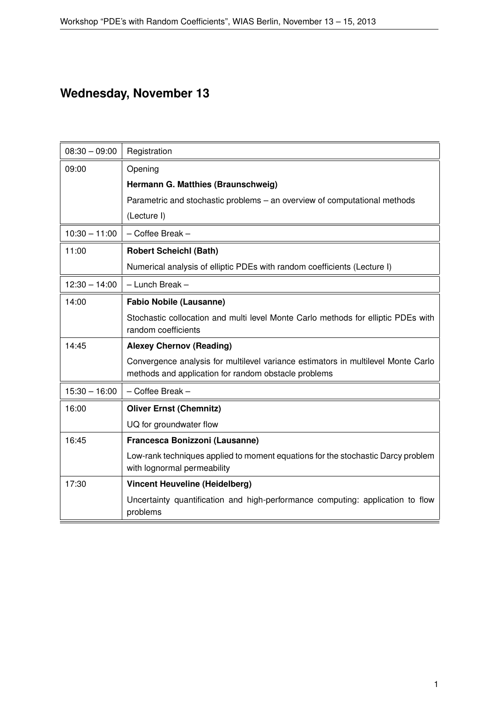## **Wednesday, November 13**

| $08:30 - 09:00$ | Registration                                                                                                                              |
|-----------------|-------------------------------------------------------------------------------------------------------------------------------------------|
| 09:00           | Opening                                                                                                                                   |
|                 | Hermann G. Matthies (Braunschweig)                                                                                                        |
|                 | Parametric and stochastic problems – an overview of computational methods                                                                 |
|                 | (Lecture I)                                                                                                                               |
| $10:30 - 11:00$ | - Coffee Break -                                                                                                                          |
| 11:00           | <b>Robert Scheichl (Bath)</b>                                                                                                             |
|                 | Numerical analysis of elliptic PDEs with random coefficients (Lecture I)                                                                  |
| $12:30 - 14:00$ | - Lunch Break -                                                                                                                           |
| 14:00           | <b>Fabio Nobile (Lausanne)</b>                                                                                                            |
|                 | Stochastic collocation and multi level Monte Carlo methods for elliptic PDEs with<br>random coefficients                                  |
| 14:45           | <b>Alexey Chernov (Reading)</b>                                                                                                           |
|                 | Convergence analysis for multilevel variance estimators in multilevel Monte Carlo<br>methods and application for random obstacle problems |
| $15:30 - 16:00$ | - Coffee Break -                                                                                                                          |
| 16:00           | <b>Oliver Ernst (Chemnitz)</b>                                                                                                            |
|                 | UQ for groundwater flow                                                                                                                   |
| 16:45           | Francesca Bonizzoni (Lausanne)                                                                                                            |
|                 | Low-rank techniques applied to moment equations for the stochastic Darcy problem<br>with lognormal permeability                           |
| 17:30           | <b>Vincent Heuveline (Heidelberg)</b>                                                                                                     |
|                 | Uncertainty quantification and high-performance computing: application to flow<br>problems                                                |